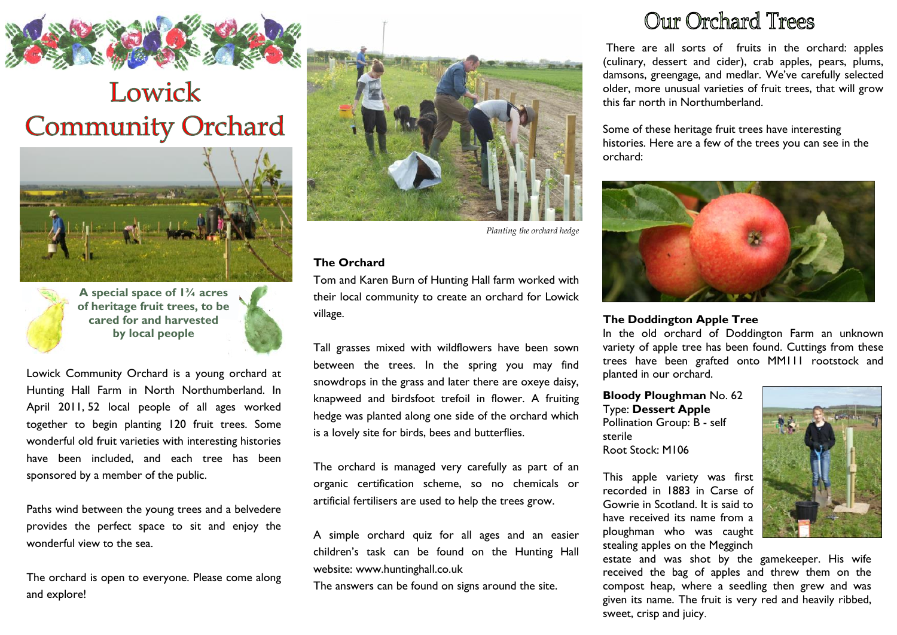

# Lowick **Community Orchard**



**A special space of 1¾ acres of heritage fruit trees, to be cared for and harvested by local people** 

Lowick Community Orchard is a young orchard at Hunting Hall Farm in North Northumberland. In April 2011, 52 local people of all ages worked together to begin planting 120 fruit trees. Some wonderful old fruit varieties with interesting histories have been included, and each tree has been sponsored by a member of the public.

Paths wind between the young trees and a belvedere provides the perfect space to sit and enjoy the wonderful view to the sea.

The orchard is open to everyone. Please come along and explore!



*Planting the orchard hedge*

#### **The Orchard**

Tom and Karen Burn of Hunting Hall farm worked with their local community to create an orchard for Lowick village.

Tall grasses mixed with wildflowers have been sown between the trees. In the spring you may find snowdrops in the grass and later there are oxeye daisy, knapweed and birdsfoot trefoil in flower. A fruiting hedge was planted along one side of the orchard which is a lovely site for birds, bees and butterflies.

The orchard is managed very carefully as part of an organic certification scheme, so no chemicals or artificial fertilisers are used to help the trees grow.

A simple orchard quiz for all ages and an easier children's task can be found on the Hunting Hall website: www.huntinghall.co.uk

The answers can be found on signs around the site.

## Our Orchard Trees

There are all sorts of fruits in the orchard: apples (culinary, dessert and cider), crab apples, pears, plums, damsons, greengage, and medlar. We've carefully selected older, more unusual varieties of fruit trees, that will grow this far north in Northumberland.

Some of these heritage fruit trees have interesting histories. Here are a few of the trees you can see in the orchard:



### **The Doddington Apple Tree**

In the old orchard of Doddington Farm an unknown variety of apple tree has been found. Cuttings from these trees have been grafted onto MM111 rootstock and planted in our orchard.

**Bloody Ploughman** No. 62 Type: **Dessert Apple** Pollination Group: B - self sterile Root Stock: M106

This apple variety was first recorded in 1883 in Carse of Gowrie in Scotland. It is said to have received its name from a ploughman who was caught stealing apples on the Megginch

estate and was shot by the gamekeeper. His wife received the bag of apples and threw them on the compost heap, where a seedling then grew and was given its name. The fruit is very red and heavily ribbed, sweet, crisp and juicy.